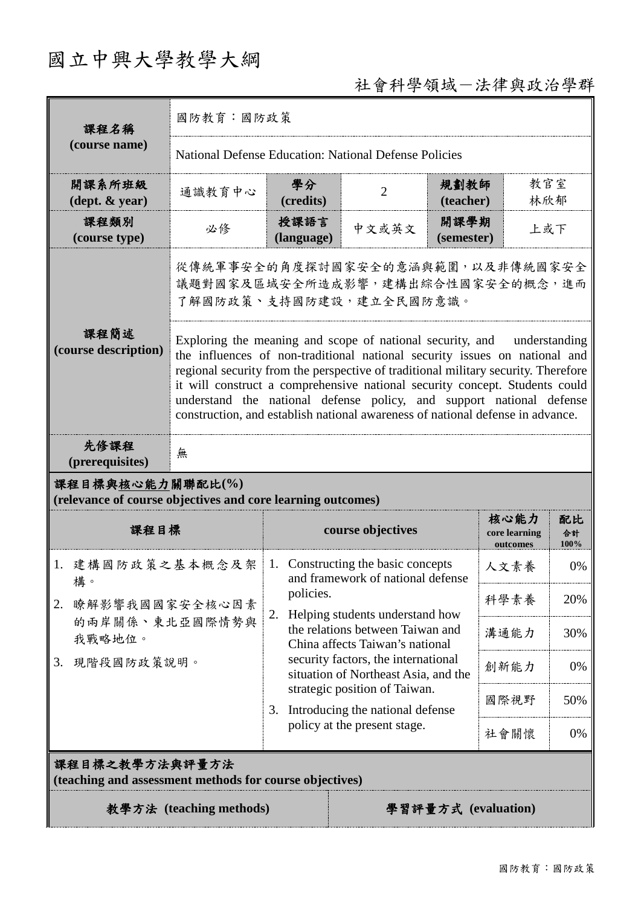# 國立中興大學教學大綱

## 社會科學領域-法律與政治學群

| 課程名稱                                                                                                                                                                                                                                                                                                                                                                                                                                                                                                                    | 國防教育:國防政策                                                                                       |                                                                                           |                                                    |                           |                                   |                  |  |
|-------------------------------------------------------------------------------------------------------------------------------------------------------------------------------------------------------------------------------------------------------------------------------------------------------------------------------------------------------------------------------------------------------------------------------------------------------------------------------------------------------------------------|-------------------------------------------------------------------------------------------------|-------------------------------------------------------------------------------------------|----------------------------------------------------|---------------------------|-----------------------------------|------------------|--|
| (course name)                                                                                                                                                                                                                                                                                                                                                                                                                                                                                                           | National Defense Education: National Defense Policies                                           |                                                                                           |                                                    |                           |                                   |                  |  |
| 開課系所班級<br>$(\text{dept.} \& \text{ year})$                                                                                                                                                                                                                                                                                                                                                                                                                                                                              | 通識教育中心                                                                                          | 學分<br>(credits)                                                                           | $\overline{2}$                                     | 規劃教師<br>(teacher)         | 教官室<br>林欣郁                        |                  |  |
| 課程類別<br>(course type)                                                                                                                                                                                                                                                                                                                                                                                                                                                                                                   | 必修                                                                                              | 授課語言<br>(language)                                                                        | 中文或英文                                              | 開課學期<br>上或下<br>(semester) |                                   |                  |  |
|                                                                                                                                                                                                                                                                                                                                                                                                                                                                                                                         | 從傳統軍事安全的角度探討國家安全的意涵與範圍,以及非傳統國家安全<br>議題對國家及區域安全所造成影響,建構出綜合性國家安全的概念,進而<br>了解國防政策、支持國防建設,建立全民國防意識。 |                                                                                           |                                                    |                           |                                   |                  |  |
| 課程簡述<br>Exploring the meaning and scope of national security, and<br>understanding<br>(course description)<br>the influences of non-traditional national security issues on national and<br>regional security from the perspective of traditional military security. Therefore<br>it will construct a comprehensive national security concept. Students could<br>understand the national defense policy, and support national defense<br>construction, and establish national awareness of national defense in advance. |                                                                                                 |                                                                                           |                                                    |                           |                                   |                  |  |
| 先修課程<br>(prerequisites)                                                                                                                                                                                                                                                                                                                                                                                                                                                                                                 | 無                                                                                               |                                                                                           |                                                    |                           |                                   |                  |  |
| 課程目標與核心能力關聯配比(%)<br>(relevance of course objectives and core learning outcomes)                                                                                                                                                                                                                                                                                                                                                                                                                                         |                                                                                                 |                                                                                           |                                                    |                           |                                   |                  |  |
| 課程目標                                                                                                                                                                                                                                                                                                                                                                                                                                                                                                                    |                                                                                                 | course objectives                                                                         |                                                    |                           | 核心能力<br>core learning<br>outcomes | 配比<br>合計<br>100% |  |
| 1. 建構國防政策之基本概念及架<br>構。                                                                                                                                                                                                                                                                                                                                                                                                                                                                                                  |                                                                                                 | 1. Constructing the basic concepts<br>and framework of national defense                   |                                                    |                           | 人文素養                              | 0%               |  |
| 2.                                                                                                                                                                                                                                                                                                                                                                                                                                                                                                                      | 瞭解影響我國國家安全核心因素                                                                                  |                                                                                           | policies.<br>Helping students understand how<br>2. |                           |                                   | 20%              |  |
| 的兩岸關係、東北亞國際情勢與<br>我戰略地位。                                                                                                                                                                                                                                                                                                                                                                                                                                                                                                |                                                                                                 | the relations between Taiwan and<br>China affects Taiwan's national                       |                                                    |                           | 溝通能力                              | 30%              |  |
| 現階段國防政策說明。<br>3.                                                                                                                                                                                                                                                                                                                                                                                                                                                                                                        |                                                                                                 | security factors, the international<br>創新能力<br>0%<br>situation of Northeast Asia, and the |                                                    |                           |                                   |                  |  |
|                                                                                                                                                                                                                                                                                                                                                                                                                                                                                                                         |                                                                                                 | strategic position of Taiwan.<br>Introducing the national defense<br>3.                   |                                                    |                           | 國際視野                              | 50%              |  |
|                                                                                                                                                                                                                                                                                                                                                                                                                                                                                                                         |                                                                                                 | policy at the present stage.                                                              |                                                    |                           | 社會關懷                              | 0%               |  |
| 課程目標之教學方法與評量方法<br>(teaching and assessment methods for course objectives)                                                                                                                                                                                                                                                                                                                                                                                                                                               |                                                                                                 |                                                                                           |                                                    |                           |                                   |                  |  |
| 教學方法 (teaching methods)                                                                                                                                                                                                                                                                                                                                                                                                                                                                                                 |                                                                                                 |                                                                                           |                                                    | 學習評量方式 (evaluation)       |                                   |                  |  |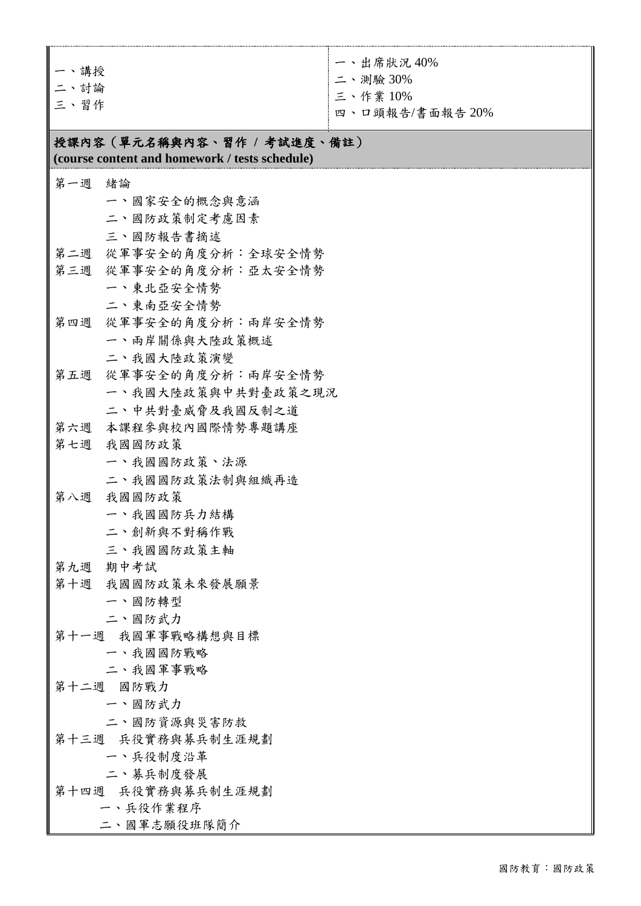| 一、講授<br>二、討論<br>三、習作                                                                     | 一、出席狀況40%<br>二、測驗 30%<br>三、作業10%<br>四、口頭報告/書面報告 20% |  |  |  |  |
|------------------------------------------------------------------------------------------|-----------------------------------------------------|--|--|--|--|
| 授課內容(單元名稱與內容、習作 / 考試進度、備註)<br>(course content and homework / tests schedule)             |                                                     |  |  |  |  |
| 第一週<br>緒論<br>一、國家安全的概念與意涵<br>二、國防政策制定考慮因素<br>三、國防報告書摘述                                   |                                                     |  |  |  |  |
| 第二週 從軍事安全的角度分析:全球安全情勢<br>第三週 從軍事安全的角度分析:亞太安全情勢<br>一、東北亞安全情勢                              | 二、東南亞安全情勢                                           |  |  |  |  |
| 從軍事安全的角度分析:兩岸安全情勢<br>第四週<br>一、兩岸關係與大陸政策概述<br>二、我國大陸政策演變                                  |                                                     |  |  |  |  |
| 從軍事安全的角度分析:兩岸安全情勢<br>第五週<br>一、我國大陸政策與中共對臺政策之現況<br>二、中共對臺威脅及我國反制之道<br>第六週 本课程参與校內國際情勢專題講座 |                                                     |  |  |  |  |
| 第七週<br>我國國防政策<br>一、我國國防政策、法源<br>二、我國國防政策法制與組織再造                                          |                                                     |  |  |  |  |
| 我國國防政策<br>第八週<br>一、我國國防兵力結構<br>二、創新與不對稱作戰<br>三、我國國防政策主軸                                  |                                                     |  |  |  |  |
| 期中考試<br>第九週<br>第十週 我國國防政策未來發展願景<br>一、國防轉型<br>二、國防武力                                      |                                                     |  |  |  |  |
| 第十一週 我國軍事戰略構想與目標<br>一、我國國防戰略<br>二、我國軍事戰略<br>第十二週 國防戰力                                    |                                                     |  |  |  |  |
| 一、國防武力<br>二、國防資源與災害防救<br>第十三週 兵役實務與募兵制生涯規劃                                               |                                                     |  |  |  |  |
| 一、兵役制度沿革<br>二、募兵制度發展<br>第十四週 兵役實務與募兵制生涯規劃<br>一、兵役作業程序<br>二、國軍志願役班隊簡介                     |                                                     |  |  |  |  |